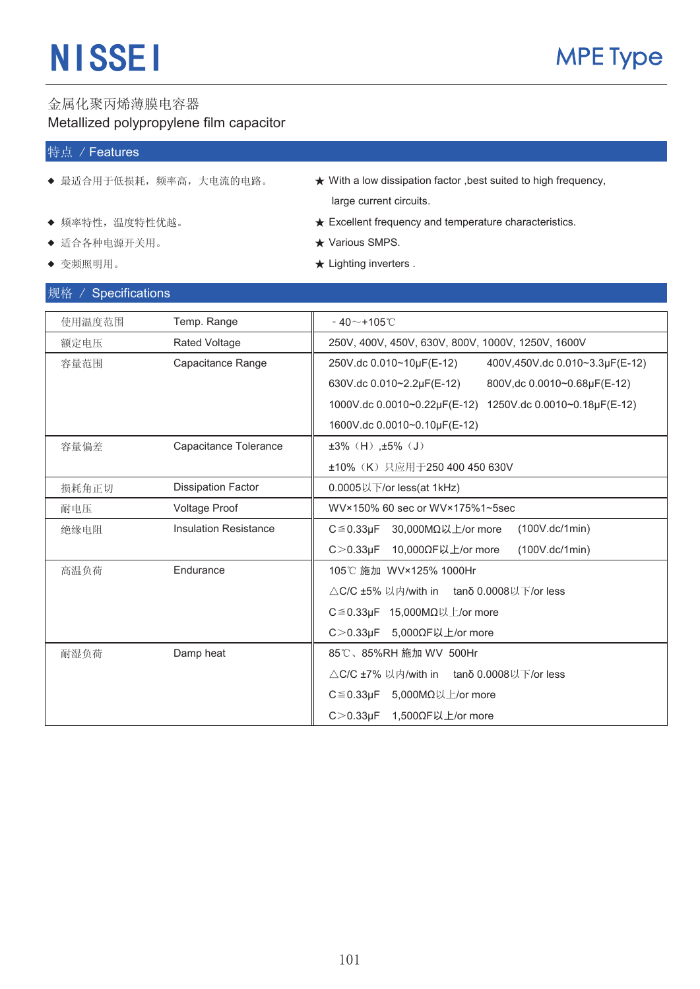### 金属化聚丙烯薄膜电容器 Metallized polypropylene film capacitor

### 特点 / Features

- 
- 
- ◆ 适合各种电源开关用。<br>◆ 适合各种电源开关用。
- 

### | 抑格 / Specifications

- ◆ 最适合用于低损耗,频率高,大电流的电路。 → ★ With a low dissipation factor ,best suited to high frequency, large current circuits.
- ƹ 乥⥛⡍ᗻˈ⏽ᑺ⡍ᗻӬ䍞DŽ ƾ Excellent frequency and temperature characteristics.
	-
- ◆ 变频照明用。 ★ Lighting inverters .

| $M/T$ / $Q$ $Q$ $U$ $U$ $U$ $U$ $U$ $U$ $U$ $U$ |                              |                                                            |
|-------------------------------------------------|------------------------------|------------------------------------------------------------|
| 使用温度范围                                          | Temp. Range                  | $-40$ ~+105 $°C$                                           |
| 额定电压                                            | <b>Rated Voltage</b>         | 250V, 400V, 450V, 630V, 800V, 1000V, 1250V, 1600V          |
| 容量范围                                            | Capacitance Range            | 250V.dc 0.010~10µF(E-12)<br>400V,450V.dc 0.010~3.3µF(E-12) |
|                                                 |                              | 630V.dc 0.010~2.2µF(E-12)<br>800V, dc 0.0010~0.68µF(E-12)  |
|                                                 |                              | 1000V.dc 0.0010~0.22µF(E-12) 1250V.dc 0.0010~0.18µF(E-12)  |
|                                                 |                              | 1600V.dc 0.0010~0.10µF(E-12)                               |
| 容量偏差                                            | Capacitance Tolerance        | $±3\%$ (H), $±5\%$ (J)                                     |
|                                                 |                              | ±10% (K) 只应用于250 400 450 630V                              |
| 损耗角正切                                           | <b>Dissipation Factor</b>    | 0.0005以下/or less(at 1kHz)                                  |
| 耐电压                                             | Voltage Proof                | WV×150% 60 sec or WV×175%1~5sec                            |
| 绝缘电阻                                            | <b>Insulation Resistance</b> | 30,000MΩ以上/or more<br>$C \le 0.33 \mu F$<br>(100V.dc/1min) |
|                                                 |                              | $C > 0.33 \mu F$<br>10,000ΩF以上/or more<br>(100V.dc/1min)   |
| 高温负荷                                            | Endurance                    | 105℃ 施加 WV×125% 1000Hr                                     |
|                                                 |                              | $\triangle$ C/C ±5% 以内/with in tano 0.0008以下/or less       |
|                                                 |                              | C≦0.33μF 15,000MΩ以上/or more                                |
|                                                 |                              | C>0.33μF 5,000ΩF以上/or more                                 |
| 耐湿负荷                                            | Damp heat                    | 85℃、85%RH 施加 WV 500Hr                                      |
|                                                 |                              | △C/C ±7% 以内/with in tano 0.0008以下/or less                  |
|                                                 |                              | C≦0.33μF 5,000MΩ以上/or more                                 |
|                                                 |                              | C > 0.33 $\mu$ F 1,500 $\Omega$ F以上/or more                |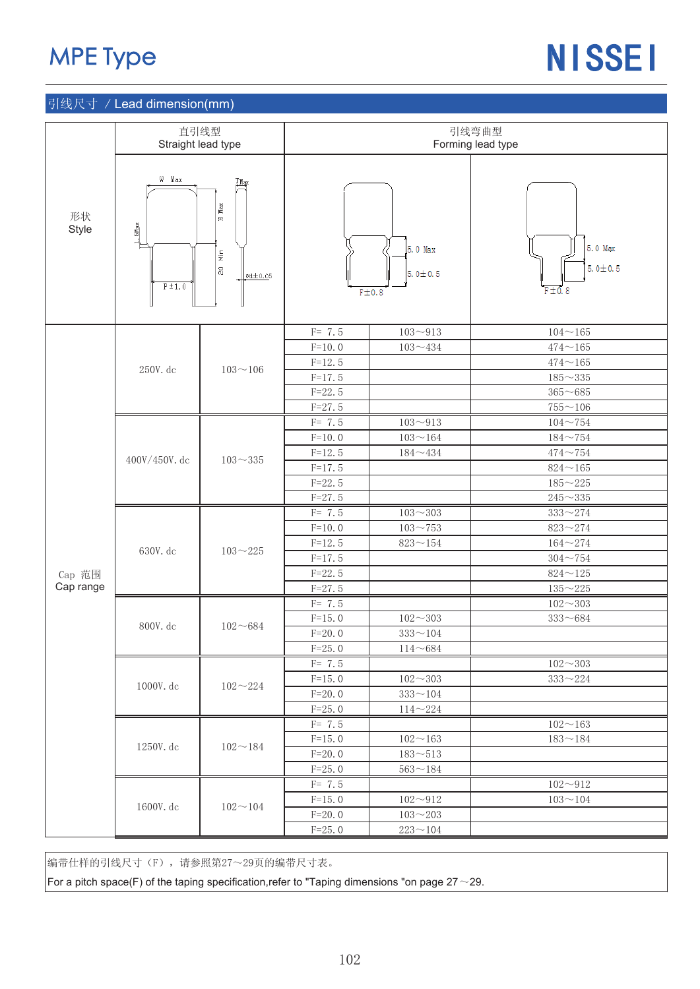## MPE Type

# NISSEI

### 引线尺寸 / Lead dimension(mm)

|             | 直引线型<br>Straight lead type                                      |                                                                                                            |            |                                   | 引线弯曲型<br>Forming lead type |  |  |  |
|-------------|-----------------------------------------------------------------|------------------------------------------------------------------------------------------------------------|------------|-----------------------------------|----------------------------|--|--|--|
|             |                                                                 |                                                                                                            |            |                                   |                            |  |  |  |
| 形状<br>Style | W Max<br>$1.5 \frac{\text{M}\text{a}\text{x}}{}$<br>$P \pm 1.0$ | $T_{\text{Max}}$<br>${\tt Max}$<br>$\mathbf{H}$<br>$\frac{\text{N}}{\text{N}}$<br>$\Xi$<br>$\approx 10.05$ |            | 5.0 Max<br>$5.0 \pm 0.5$<br>F±0.8 | 5.0 Max<br>$5.0 \pm 0.5$   |  |  |  |
|             |                                                                 |                                                                                                            | $F = 7.5$  | $103 - 913$                       | $104 - 165$                |  |  |  |
|             |                                                                 |                                                                                                            | $F=10.0$   | $103 - 434$                       | $474 - 165$                |  |  |  |
|             | 250V. dc                                                        | $103 - 106$                                                                                                | $F=12.5$   |                                   | $474\!\sim\!165$           |  |  |  |
|             |                                                                 |                                                                                                            | $F=17.5$   |                                   | $185 - 335$                |  |  |  |
|             |                                                                 |                                                                                                            | $F = 22.5$ |                                   | $365 - 685$                |  |  |  |
|             |                                                                 |                                                                                                            | $F = 27.5$ |                                   | $755 - 106$                |  |  |  |
|             |                                                                 |                                                                                                            | $F = 7.5$  | $103 - 913$                       | $104 - 754$                |  |  |  |
|             | $400V/450V$ . dc                                                |                                                                                                            | $F=10.0$   | $103 - 164$                       | $184 - 754$                |  |  |  |
|             |                                                                 | $103 - 335$                                                                                                | $F=12.5$   | $184\!\sim\!434$                  | $474 - 754$                |  |  |  |
|             |                                                                 |                                                                                                            | $F=17.5$   |                                   | $824\!\sim\!165$           |  |  |  |
|             |                                                                 |                                                                                                            | $F=22.5$   |                                   | $185 - 225$                |  |  |  |
|             |                                                                 |                                                                                                            | $F = 27.5$ |                                   | $245\!\sim\!335$           |  |  |  |
|             |                                                                 |                                                                                                            | $F = 7.5$  | $103 - 303$                       | $333 - 274$                |  |  |  |
|             | 630V. dc                                                        |                                                                                                            | $F=10.0$   | $103 - 753$                       | $823 - 274$                |  |  |  |
|             |                                                                 | $103 - 225$                                                                                                | $F=12.5$   | $823\!\sim\!154$                  | $164 - 274$                |  |  |  |
|             |                                                                 |                                                                                                            | $F = 17.5$ |                                   | $304 - 754$                |  |  |  |
| Cap 范围      |                                                                 |                                                                                                            | $F = 22.5$ |                                   | $824\!\sim\!125$           |  |  |  |
| Cap range   |                                                                 |                                                                                                            | $F = 27.5$ |                                   | $135 - 225$                |  |  |  |
|             |                                                                 |                                                                                                            | $F = 7.5$  |                                   | $102 - 303$                |  |  |  |
|             | 800V. dc                                                        | $102 - 684$                                                                                                | $F=15.0$   | $102\!\sim\!303$                  | $333 - 684$                |  |  |  |
|             |                                                                 |                                                                                                            | $F = 20.0$ | $333\!\sim\!104$                  |                            |  |  |  |
|             |                                                                 |                                                                                                            | $F = 25.0$ | $114 - 684$                       |                            |  |  |  |
|             |                                                                 |                                                                                                            | $F = 7.5$  |                                   | $102\!\sim\!303$           |  |  |  |
|             | 1000V. dc                                                       | $102 - 224$                                                                                                | $F=15.0$   | $102 - 303$                       | $333\!\sim\!224$           |  |  |  |
|             |                                                                 |                                                                                                            | $F=20.0$   | $333\!\sim\!104$                  |                            |  |  |  |
|             |                                                                 |                                                                                                            | $F = 25.0$ | $114 - 224$                       |                            |  |  |  |
|             |                                                                 |                                                                                                            | $F = 7.5$  |                                   | $102 - 163$                |  |  |  |
|             | 1250V. dc                                                       | $102 - 184$                                                                                                | $F=15.0$   | $102 - 163$                       | $183\!\sim\!184$           |  |  |  |
|             |                                                                 |                                                                                                            | $F = 20.0$ | $183 - 513$                       |                            |  |  |  |
|             |                                                                 |                                                                                                            | $F = 25.0$ | $563 - 184$                       |                            |  |  |  |
|             |                                                                 |                                                                                                            | $F = 7.5$  |                                   | $102 - 912$                |  |  |  |
|             |                                                                 |                                                                                                            | $F=15.0$   | $102 - 912$                       | $103 - 104$                |  |  |  |
|             | 1600V. dc                                                       | $102 - 104$                                                                                                | $F=20.0$   | $103 - 203$                       |                            |  |  |  |
|             |                                                                 |                                                                                                            | $F = 25.0$ | $223\!\sim\!104$                  |                            |  |  |  |

编带仕样的引线尺寸(F), 请参照第27~29页的编带尺寸表。

For a pitch space(F) of the taping specification, refer to "Taping dimensions "on page 27 $\sim$ 29.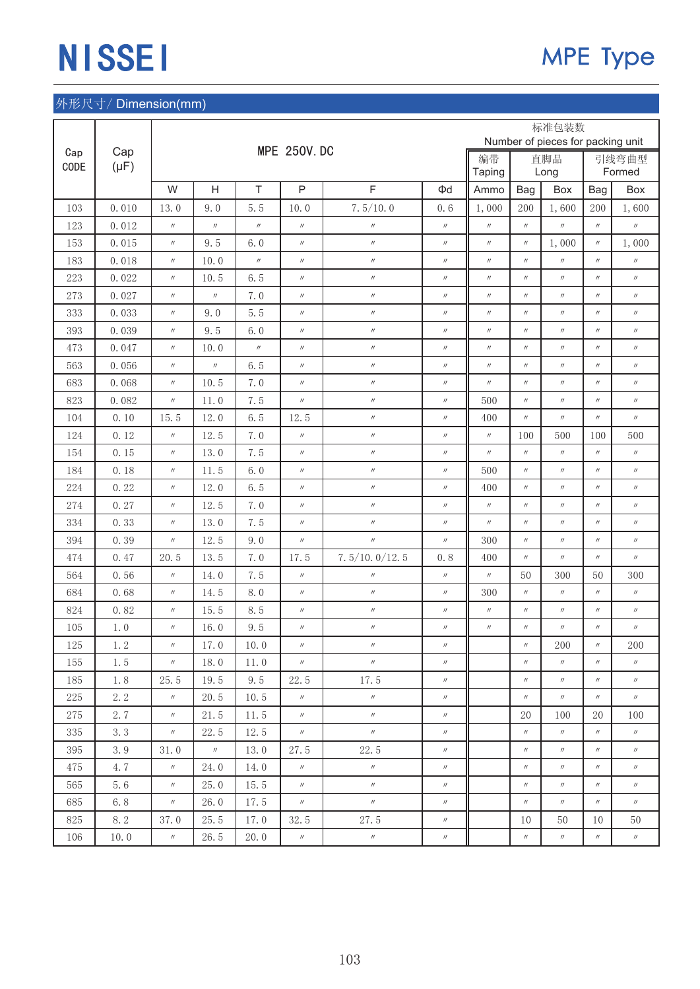|         |           |                   |                   |                   |                    |                   |                   |                   |                   | 标准包装数             |                                   |                   |
|---------|-----------|-------------------|-------------------|-------------------|--------------------|-------------------|-------------------|-------------------|-------------------|-------------------|-----------------------------------|-------------------|
| Cap     | Cap       |                   |                   |                   | <b>MPE 250V.DC</b> |                   |                   | 编带                |                   |                   | Number of pieces for packing unit |                   |
| CODE    | $(\mu F)$ |                   |                   |                   |                    |                   |                   |                   |                   | 直脚品<br>Long       |                                   | 引线弯曲型<br>Formed   |
|         |           | W                 | H                 | $\top$            | $\mathsf{P}$       | F                 | Φd                | Ammo              | Bag               | Box               | Bag                               | <b>Box</b>        |
| 103     | 0.010     | 13.0              | 9.0               | 5.5               | 10.0               | 7.5/10.0          | 0.6               | 1,000             | 200               | 1,600             | 200                               | 1,600             |
| 123     | 0.012     | $^{\prime\prime}$ | $\prime\prime$    | $^{\prime\prime}$ | $\prime\prime$     | $\prime\prime$    | $\prime\prime$    | $^{\prime\prime}$ | $^{\prime\prime}$ | $\prime\prime$    | $^{\prime\prime}$                 | $^{\prime\prime}$ |
| 153     | 0.015     | $^{\prime\prime}$ | 9.5               | 6.0               | $^{\prime\prime}$  | $^{\prime\prime}$ | $^{\prime\prime}$ | $^{\prime\prime}$ | $^{\prime\prime}$ | 1,000             | $^{\prime\prime}$                 | 1,000             |
| 183     | 0.018     | $^{\prime\prime}$ | 10.0              | $\prime\prime$    | $^{\prime\prime}$  | $\prime\prime$    | $\prime\prime$    | $^{\prime\prime}$ | $\prime\prime$    | $^{\prime\prime}$ | $^{\prime\prime}$                 | $^{\prime\prime}$ |
| 223     | 0.022     | $^{\prime\prime}$ | 10.5              | 6.5               | $^{\prime\prime}$  | $\prime\prime$    | $\prime\prime$    | $^{\prime\prime}$ | $^{\prime\prime}$ | $^{\prime\prime}$ | $^{\prime\prime}$                 | $^{\prime\prime}$ |
| 273     | 0.027     | $^{\prime\prime}$ | $\prime\prime$    | 7.0               | $^{\prime\prime}$  | $^{\prime\prime}$ | $^{\prime\prime}$ | $^{\prime\prime}$ | $^{\prime\prime}$ | $^{\prime\prime}$ | $^{\prime\prime}$                 | $^{\prime\prime}$ |
| 333     | 0.033     | $^{\prime\prime}$ | 9.0               | 5.5               | $^{\prime\prime}$  | $^{\prime\prime}$ | $\prime\prime$    | $^{\prime\prime}$ | $^{\prime\prime}$ | $^{\prime\prime}$ | $^{\prime\prime}$                 | $\prime\prime$    |
| 393     | 0.039     | $^{\prime\prime}$ | 9.5               | 6.0               | $^{\prime\prime}$  | $^{\prime\prime}$ | $^{\prime\prime}$ | $^{\prime\prime}$ | $^{\prime\prime}$ | $^{\prime\prime}$ | $^{\prime\prime}$                 | $^{\prime\prime}$ |
| 473     | 0.047     | $^{\prime\prime}$ | 10.0              | $\prime\prime$    | $^{\prime\prime}$  | $^{\prime\prime}$ | $\prime\prime$    | $\prime\prime$    | $^{\prime\prime}$ | $^{\prime\prime}$ | $^{\prime\prime}$                 | $\prime\prime$    |
| 563     | 0.056     | $^{\prime\prime}$ | $^{\prime\prime}$ | 6.5               | $^{\prime\prime}$  | $^{\prime\prime}$ | $^{\prime\prime}$ | $^{\prime\prime}$ | $^{\prime\prime}$ | $^{\prime\prime}$ | $^{\prime\prime}$                 | $^{\prime\prime}$ |
| 683     | 0.068     | $^{\prime\prime}$ | 10.5              | 7.0               | $^{\prime\prime}$  | $^{\prime\prime}$ | $\prime\prime$    | $\prime\prime$    | $^{\prime\prime}$ | $^{\prime\prime}$ | $^{\prime\prime}$                 | $\prime\prime$    |
| 823     | 0.082     | $^{\prime\prime}$ | 11.0              | 7.5               | $^{\prime\prime}$  | $^{\prime\prime}$ | $\prime\prime$    | 500               | $^{\prime\prime}$ | $^{\prime\prime}$ | $^{\prime\prime}$                 | $\prime\prime$    |
| 104     | 0.10      | 15.5              | 12.0              | 6.5               | 12.5               | $^{\prime\prime}$ | $\prime\prime$    | 400               | $^{\prime\prime}$ | $^{\prime\prime}$ | $^{\prime\prime}$                 | $\prime\prime$    |
| 124     | 0.12      | $^{\prime\prime}$ | 12.5              | 7.0               | $^{\prime\prime}$  | $\prime\prime$    | $\prime\prime$    | $\prime\prime$    | 100               | 500               | 100                               | 500               |
| 154     | 0.15      | $^{\prime\prime}$ | 13.0              | 7.5               | $^{\prime\prime}$  | $^{\prime\prime}$ | $\prime\prime$    | $\prime\prime$    | $^{\prime\prime}$ | $\prime\prime$    | $^{\prime\prime}$                 | $\prime\prime$    |
| 184     | 0.18      | $^{\prime\prime}$ | 11.5              | 6.0               | $^{\prime\prime}$  | $^{\prime\prime}$ | $\prime\prime$    | 500               | $^{\prime\prime}$ | $^{\prime\prime}$ | $^{\prime\prime}$                 | $^{\prime\prime}$ |
| 224     | 0.22      | $^{\prime\prime}$ | 12.0              | 6.5               | $^{\prime\prime}$  | $^{\prime\prime}$ | $\prime\prime$    | 400               | $\prime\prime$    | $\prime\prime$    | $^{\prime\prime}$                 | $\prime\prime$    |
| 274     | 0.27      | $^{\prime\prime}$ | 12.5              | 7.0               | $^{\prime\prime}$  | $^{\prime\prime}$ | $^{\prime\prime}$ | $^{\prime\prime}$ | $^{\prime\prime}$ | $^{\prime\prime}$ | $^{\prime\prime}$                 | $\prime\prime$    |
| 334     | 0.33      | $^{\prime\prime}$ | 13.0              | 7.5               | $^{\prime\prime}$  | $^{\prime\prime}$ | $\prime\prime$    | $^{\prime\prime}$ | $^{\prime\prime}$ | $^{\prime\prime}$ | $^{\prime\prime}$                 | $\prime\prime$    |
| 394     | 0.39      | $^{\prime\prime}$ | 12.5              | 9.0               | $^{\prime\prime}$  | $^{\prime\prime}$ | $^{\prime\prime}$ | 300               | $^{\prime\prime}$ | $^{\prime\prime}$ | $^{\prime\prime}$                 | $^{\prime\prime}$ |
| 474     | 0.47      | 20.5              | 13.5              | 7.0               | 17.5               | 7.5/10.0/12.5     | 0.8               | 400               | $\prime\prime$    | $^{\prime\prime}$ | $^{\prime\prime}$                 | $^{\prime\prime}$ |
| 564     | 0.56      | $^{\prime\prime}$ | 14.0              | 7.5               | $^{\prime\prime}$  | $\prime\prime$    | $\prime\prime$    | $^{\prime\prime}$ | 50                | 300               | 50                                | 300               |
| 684     | 0.68      | $^{\prime\prime}$ | 14.5              | 8.0               | $^{\prime\prime}$  | $^{\prime\prime}$ | $\prime\prime$    | 300               | $^{\prime\prime}$ | $^{\prime\prime}$ | $^{\prime\prime}$                 | $\prime\prime$    |
| 824     | 0.82      | $^{\prime\prime}$ | 15.5              | 8.5               | $\prime\prime$     | $\prime\prime$    | $^{\prime\prime}$ | $^{\prime\prime}$ | $^{\prime\prime}$ | $^{\prime\prime}$ | $^{\prime\prime}$                 | $\prime\prime$    |
| 105     | 1.0       | $^{\prime\prime}$ | 16.0              | 9.5               | $^{\prime\prime}$  | $\prime\prime$    | $\prime\prime$    | $^{\prime\prime}$ | $^{\prime\prime}$ | $^{\prime\prime}$ | $\prime\prime$                    | $^{\prime\prime}$ |
| $125\,$ | $1.\,2$   | $^{\prime\prime}$ | 17.0              | 10.0              | $^{\prime\prime}$  | $^{\prime\prime}$ | $^{\prime\prime}$ |                   | $^{\prime\prime}$ | $200\,$           | $^{\prime\prime}$                 | $200\,$           |
| 155     | 1.5       | $^{\prime\prime}$ | 18.0              | 11.0              | $^{\prime\prime}$  | $^{\prime\prime}$ | $\prime\prime$    |                   | $^{\prime\prime}$ | $\prime\prime$    | $\prime\prime$                    | $\prime\prime$    |
| 185     | 1.8       | 25.5              | 19.5              | 9.5               | 22.5               | 17.5              | $\prime\prime$    |                   | $\prime\prime$    | $\prime\prime$    | $\prime\prime$                    | $\prime\prime$    |
| 225     | 2.2       | $^{\prime\prime}$ | 20.5              | 10.5              | $\prime\prime$     | $\prime\prime$    | $\prime\prime$    |                   | $\prime\prime$    | $^{\prime\prime}$ | $\prime\prime$                    | $\prime\prime$    |
| 275     | 2.7       | $^{\prime\prime}$ | 21.5              | 11.5              | $\prime\prime$     | $^{\prime\prime}$ | $\prime\prime$    |                   | 20                | 100               | 20                                | 100               |
| 335     | 3.3       | $\prime\prime$    | 22.5              | 12.5              | $\prime\prime$     | $\prime\prime$    | $\prime\prime$    |                   | $^{\prime\prime}$ | $\prime\prime$    | $\prime\prime$                    | $\prime\prime$    |
| 395     | 3.9       | 31.0              | $\prime\prime$    | 13.0              | 27.5               | 22.5              | $^{\prime\prime}$ |                   | $\prime\prime$    | $\prime\prime$    | $\prime\prime$                    | $\prime\prime$    |
| 475     | 4.7       | $\prime\prime$    | 24.0              | 14.0              | $\prime\prime$     | $\prime\prime$    | $^{\prime\prime}$ |                   | $\prime\prime$    | $\prime\prime$    | $^{\prime\prime}$                 | $\prime\prime$    |
| 565     | 5.6       | $^{\prime\prime}$ | 25.0              | 15.5              | $\prime\prime$     | $\prime\prime$    | $\prime\prime$    |                   | $^{\prime\prime}$ | $\prime\prime$    | $\prime\prime$                    | $\prime\prime$    |
| 685     | 6.8       | $^{\prime\prime}$ | 26.0              | 17.5              | $\prime\prime$     | $\prime\prime$    | $\prime\prime$    |                   | $^{\prime\prime}$ | $\prime\prime$    | $\prime\prime$                    | $^{\prime\prime}$ |
| 825     | 8.2       | 37.0              | 25.5              | 17.0              | 32.5               | 27.5              | $^{\prime\prime}$ |                   | 10                | 50                | 10                                | 50                |
| 106     | 10.0      | $\prime\prime$    | 26.5              | 20.0              | $^{\prime\prime}$  | $\prime\prime$    | $\prime\prime$    |                   | $\prime\prime$    | $^{\prime\prime}$ | $\prime\prime$                    | $\prime\prime$    |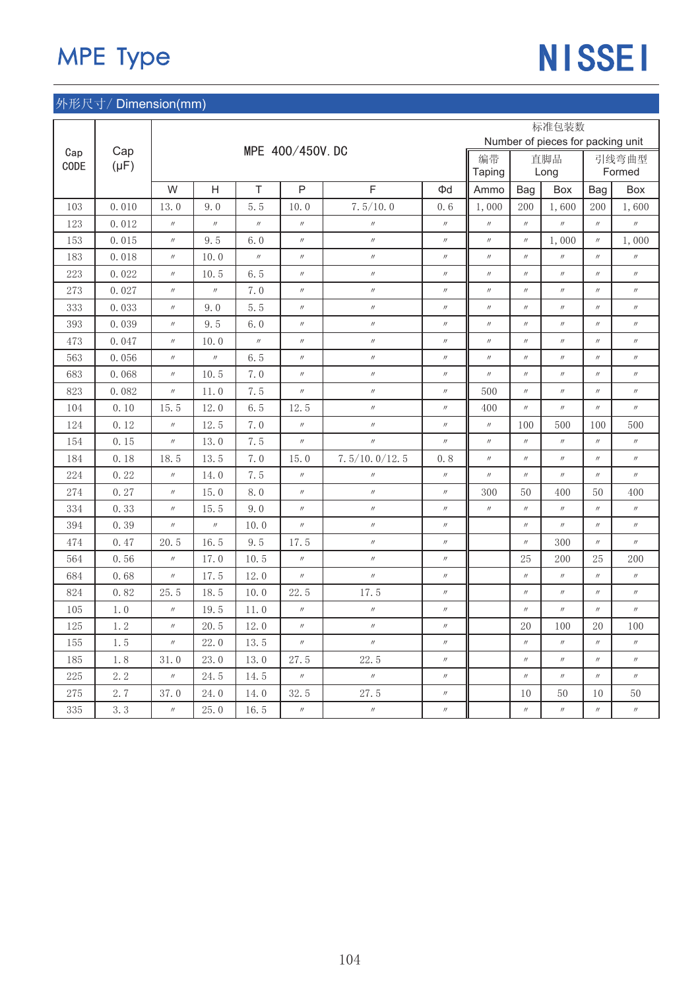# MPE Type NISSEI

|      |           |                   |                   |                   |                   |                   |                   |                   |                   | 标准包装数                             |                   |                   |
|------|-----------|-------------------|-------------------|-------------------|-------------------|-------------------|-------------------|-------------------|-------------------|-----------------------------------|-------------------|-------------------|
| Cap  | Cap       |                   |                   |                   | MPE 400/450V. DC  |                   |                   |                   |                   | Number of pieces for packing unit |                   |                   |
| CODE | $(\mu F)$ |                   |                   |                   |                   |                   |                   | 编带<br>Taping      |                   | 直脚品<br>Long                       |                   | 引线弯曲型<br>Formed   |
|      |           | W                 | H                 | $\top$            | $\mathsf{P}$      | $\overline{F}$    | $\Phi$ d          | Ammo              | Bag               | Box                               | Bag               | Box               |
| 103  | 0.010     | 13.0              | 9.0               | 5.5               | 10.0              | 7.5/10.0          | 0, 6              | 1,000             | 200               | 1,600                             | 200               | 1,600             |
| 123  | 0.012     | $^{\prime\prime}$ | $^{\prime\prime}$ | $\prime\prime$    | $^{\prime\prime}$ | $\prime\prime$    | $\prime\prime$    | $^{\prime\prime}$ | $\prime\prime$    | $^{\prime\prime}$                 | $^{\prime\prime}$ | $\prime\prime$    |
| 153  | 0.015     | $^{\prime\prime}$ | 9.5               | 6.0               | $^{\prime\prime}$ | $^{\prime\prime}$ | $^{\prime\prime}$ | $^{\prime\prime}$ | $\prime\prime$    | 1,000                             | $^{\prime\prime}$ | 1,000             |
| 183  | 0.018     | $^{\prime\prime}$ | 10.0              | $\prime\prime$    | $^{\prime\prime}$ | $^{\prime\prime}$ | $^{\prime\prime}$ | $\prime\prime$    | $^{\prime\prime}$ | $\prime\prime$                    | $^{\prime\prime}$ | $\prime\prime$    |
| 223  | 0.022     | $^{\prime\prime}$ | 10.5              | 6.5               | $^{\prime\prime}$ | $\prime$          | $\prime\prime$    | $\prime\prime$    | $^{\prime\prime}$ | $^{\prime\prime}$                 | $^{\prime\prime}$ | $^{\prime\prime}$ |
| 273  | 0.027     | $\prime\prime$    | $\prime\prime$    | 7.0               | $^{\prime\prime}$ | $\prime\prime$    | $\prime\prime$    | $\prime\prime$    | $\prime\prime$    | $\prime\prime$                    | $^{\prime\prime}$ | $\prime\prime$    |
| 333  | 0.033     | $^{\prime\prime}$ | 9.0               | 5.5               | $^{\prime\prime}$ | $\prime\prime$    | $\prime\prime$    | $\prime\prime$    | $\prime\prime$    | $^{\prime\prime}$                 | $^{\prime\prime}$ | $^{\prime\prime}$ |
| 393  | 0.039     | $^{\prime\prime}$ | 9.5               | 6.0               | $^{\prime\prime}$ | $\prime\prime$    | $^{\prime\prime}$ | $^{\prime\prime}$ | $\prime\prime$    | $^{\prime\prime}$                 | $^{\prime\prime}$ | $^{\prime\prime}$ |
| 473  | 0.047     | $^{\prime\prime}$ | 10.0              | $^{\prime\prime}$ | $^{\prime\prime}$ | $^{\prime\prime}$ | $\prime\prime$    | $^{\prime\prime}$ | $\prime\prime$    | $^{\prime\prime}$                 | $^{\prime\prime}$ | $^{\prime\prime}$ |
| 563  | 0.056     | $^{\prime\prime}$ | $^{\prime\prime}$ | 6.5               | $^{\prime\prime}$ | $^{\prime\prime}$ | $^{\prime\prime}$ | $^{\prime\prime}$ | $\prime\prime$    | $^{\prime\prime}$                 | $^{\prime\prime}$ | $^{\prime\prime}$ |
| 683  | 0.068     | $^{\prime\prime}$ | 10.5              | 7.0               | $^{\prime\prime}$ | $\prime\prime$    | $^{\prime\prime}$ | $^{\prime\prime}$ | $\prime\prime$    | $^{\prime\prime}$                 | $\prime\prime$    | $^{\prime\prime}$ |
| 823  | 0.082     | $^{\prime\prime}$ | 11.0              | 7.5               | $\prime\prime$    | $\prime\prime$    | $\prime\prime$    | 500               | $\prime\prime$    | $^{\prime\prime}$                 | $^{\prime\prime}$ | $^{\prime\prime}$ |
| 104  | 0.10      | 15.5              | 12.0              | 6.5               | 12.5              | $^{\prime\prime}$ | $^{\prime\prime}$ | 400               | $\prime\prime$    | $^{\prime\prime}$                 | $^{\prime\prime}$ | $^{\prime\prime}$ |
| 124  | 0.12      | $\prime\prime$    | 12.5              | 7.0               | $^{\prime\prime}$ | $\prime\prime$    | $\prime\prime$    | $^{\prime\prime}$ | 100               | 500                               | 100               | 500               |
| 154  | 0.15      | $^{\prime\prime}$ | 13.0              | 7.5               | $^{\prime\prime}$ | $\prime$          | $\prime\prime$    | $^{\prime\prime}$ | $^{\prime\prime}$ | $\prime\prime$                    | $^{\prime\prime}$ | $^{\prime\prime}$ |
| 184  | 0.18      | 18.5              | 13.5              | 7.0               | 15.0              | 7.5/10.0/12.5     | 0.8               | $\prime\prime$    | $\prime\prime$    | $^{\prime\prime}$                 | $^{\prime\prime}$ | $^{\prime\prime}$ |
| 224  | 0.22      | $^{\prime\prime}$ | 14.0              | 7.5               | $^{\prime\prime}$ | $^{\prime\prime}$ | $\prime\prime$    | $^{\prime\prime}$ | $^{\prime\prime}$ | $^{\prime\prime}$                 | $^{\prime\prime}$ | $^{\prime\prime}$ |
| 274  | 0.27      | $^{\prime\prime}$ | 15.0              | 8.0               | $^{\prime\prime}$ | $\prime\prime$    | $^{\prime\prime}$ | 300               | 50                | 400                               | 50                | 400               |
| 334  | 0.33      | $^{\prime\prime}$ | 15.5              | 9.0               | $^{\prime\prime}$ | $\prime\prime$    | $\prime\prime$    | $^{\prime\prime}$ | $\prime\prime$    | $^{\prime\prime}$                 | $^{\prime\prime}$ | $^{\prime\prime}$ |
| 394  | 0.39      | $^{\prime\prime}$ | $^{\prime\prime}$ | 10.0              | $^{\prime\prime}$ | $\prime\prime$    | $\prime\prime$    |                   | $^{\prime\prime}$ | $^{\prime\prime}$                 | $^{\prime\prime}$ | $^{\prime\prime}$ |
| 474  | 0.47      | 20.5              | 16.5              | 9.5               | 17.5              | $^{\prime\prime}$ | $^{\prime\prime}$ |                   | $^{\prime\prime}$ | 300                               | $\prime\prime$    | $^{\prime\prime}$ |
| 564  | 0.56      | $^{\prime\prime}$ | 17.0              | 10.5              | $^{\prime\prime}$ | $^{\prime\prime}$ | $^{\prime\prime}$ |                   | 25                | 200                               | 25                | 200               |
| 684  | 0.68      | $^{\prime\prime}$ | 17.5              | 12.0              | $^{\prime\prime}$ | $^{\prime\prime}$ | $^{\prime\prime}$ |                   | $\prime\prime$    | $\prime\prime$                    | $^{\prime\prime}$ | $^{\prime\prime}$ |
| 824  | 0.82      | 25.5              | 18.5              | 10.0              | 22.5              | 17.5              | $\prime\prime$    |                   | $^{\prime\prime}$ | $^{\prime\prime}$                 | $^{\prime\prime}$ | $^{\prime\prime}$ |
| 105  | 1.0       | $^{\prime\prime}$ | 19.5              | 11.0              | $^{\prime\prime}$ | $\prime\prime$    | $\prime\prime$    |                   | $\prime\prime$    | $\prime\prime$                    | $^{\prime\prime}$ | $^{\prime\prime}$ |
| 125  | 1.2       | $^{\prime\prime}$ | 20.5              | 12.0              | $^{\prime\prime}$ | $\prime\prime$    | $\prime\prime$    |                   | 20                | 100                               | 20                | 100               |
| 155  | 1.5       | $^{\prime\prime}$ | 22.0              | 13.5              | $^{\prime\prime}$ | $^{\prime\prime}$ | $\prime\prime$    |                   | $\prime\prime$    | $\prime\prime$                    | $\prime\prime$    | $\prime\prime$    |
| 185  | 1.8       | 31.0              | 23.0              | 13.0              | 27.5              | 22.5              | $^{\prime\prime}$ |                   | $^{\prime\prime}$ | $^{\prime\prime}$                 | $^{\prime\prime}$ | $^{\prime\prime}$ |
| 225  | 2.2       | $^{\prime\prime}$ | 24.5              | 14.5              | $^{\prime\prime}$ | $\prime$          | $^{\prime\prime}$ |                   | $^{\prime\prime}$ | $^{\prime\prime}$                 | $^{\prime\prime}$ | $^{\prime\prime}$ |
| 275  | 2.7       | 37.0              | 24.0              | 14.0              | 32.5              | 27.5              | $^{\prime\prime}$ |                   | 10                | 50                                | 10                | 50                |
| 335  | 3.3       | $^{\prime\prime}$ | 25.0              | 16.5              | $^{\prime\prime}$ | $^{\prime\prime}$ | $^{\prime\prime}$ |                   | $\prime\prime$    | $^{\prime\prime}$                 | $^{\prime\prime}$ | $^{\prime\prime}$ |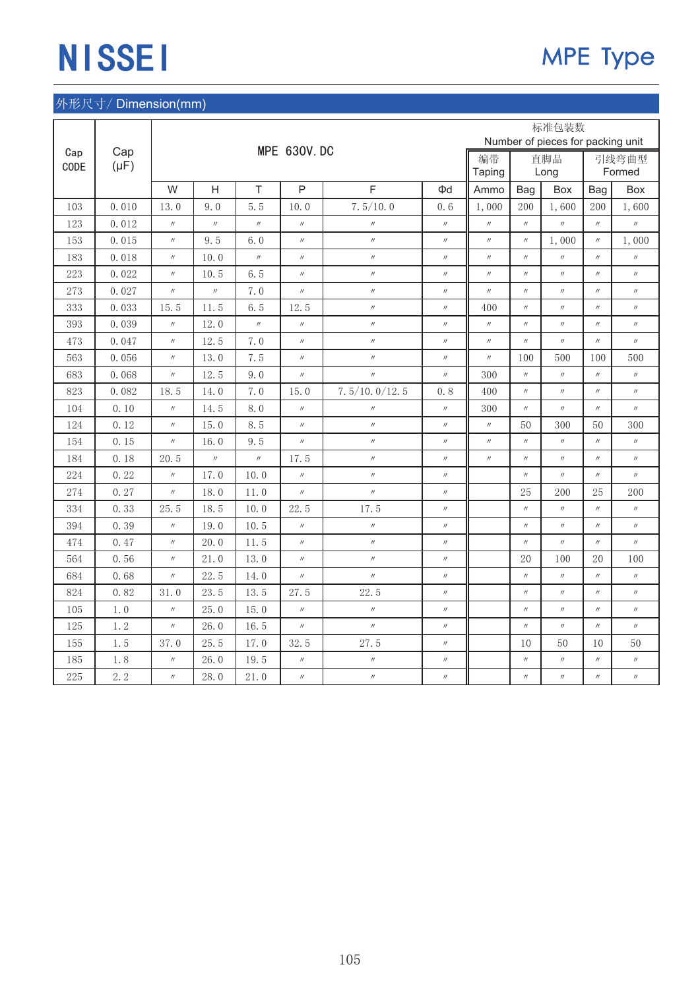|             |           |                   |                   |                   |                    |                   |                   |                   |                   | 标准包装数                             |                   |                   |
|-------------|-----------|-------------------|-------------------|-------------------|--------------------|-------------------|-------------------|-------------------|-------------------|-----------------------------------|-------------------|-------------------|
|             | Cap       |                   |                   |                   | <b>MPE 630V.DC</b> |                   |                   |                   |                   | Number of pieces for packing unit |                   |                   |
| Cap<br>CODE | $(\mu F)$ |                   |                   |                   |                    |                   |                   | 编带                |                   | 直脚品                               |                   | 引线弯曲型             |
|             |           |                   |                   |                   |                    |                   |                   | Taping            |                   | Long                              |                   | Formed            |
|             |           | W                 | H                 | T                 | $\mathsf{P}$       | F                 | Φd                | Ammo              | Bag               | Box                               | Bag               | Box               |
| 103         | 0.010     | 13.0              | 9.0               | 5.5               | 10.0               | 7.5/10.0          | 0.6               | 1,000             | 200               | 1,600                             | 200               | 1,600             |
| 123         | 0.012     | $^{\prime\prime}$ | $^{\prime\prime}$ | $\prime\prime$    | $^{\prime\prime}$  | $\prime$          | $\prime\prime$    | $^{\prime\prime}$ | $^{\prime\prime}$ | $^{\prime\prime}$                 | $^{\prime\prime}$ | $^{\prime\prime}$ |
| 153         | 0.015     | $^{\prime\prime}$ | 9.5               | 6.0               | $^{\prime\prime}$  | $^{\prime\prime}$ | $^{\prime\prime}$ | $^{\prime\prime}$ | $^{\prime\prime}$ | 1,000                             | $^{\prime\prime}$ | 1,000             |
| 183         | 0.018     | $\prime\prime$    | 10.0              | $\prime\prime$    | $^{\prime\prime}$  | $\prime\prime$    | $\prime\prime$    | $^{\prime\prime}$ | $^{\prime\prime}$ | $^{\prime\prime}$                 | $^{\prime\prime}$ | $\prime\prime$    |
| 223         | 0.022     | $\prime\prime$    | 10.5              | 6.5               | $^{\prime\prime}$  | $\prime\prime$    | $\prime\prime$    | $^{\prime\prime}$ | $^{\prime\prime}$ | $^{\prime\prime}$                 | $^{\prime\prime}$ | $^{\prime\prime}$ |
| 273         | 0.027     | $\prime\prime$    | $\prime\prime$    | 7.0               | $\prime\prime$     | $^{\prime\prime}$ | $^{\prime\prime}$ | $^{\prime\prime}$ | $^{\prime\prime}$ | $\prime\prime$                    | $^{\prime\prime}$ | $\prime\prime$    |
| 333         | 0.033     | 15.5              | 11.5              | 6.5               | 12.5               | $\prime\prime$    | $^{\prime\prime}$ | 400               | $^{\prime\prime}$ | $^{\prime\prime}$                 | $^{\prime\prime}$ | $^{\prime\prime}$ |
| 393         | 0.039     | $^{\prime\prime}$ | 12.0              | $\prime\prime$    | $^{\prime\prime}$  | $^{\prime\prime}$ | $\prime\prime$    | $\prime\prime$    | $^{\prime\prime}$ | $^{\prime\prime}$                 | $^{\prime\prime}$ | $^{\prime\prime}$ |
| 473         | 0.047     | $^{\prime\prime}$ | 12.5              | 7.0               | $^{\prime\prime}$  | $\prime\prime$    | $\prime\prime$    | $\prime\prime$    | $\prime\prime$    | $^{\prime\prime}$                 | $^{\prime\prime}$ | $\prime\prime$    |
| 563         | 0.056     | $^{\prime\prime}$ | 13.0              | 7.5               | $^{\prime\prime}$  | $^{\prime\prime}$ | $\prime\prime$    | $^{\prime\prime}$ | 100               | 500                               | 100               | 500               |
| 683         | 0.068     | $\prime\prime$    | 12.5              | 9.0               | $^{\prime\prime}$  | $^{\prime\prime}$ | $^{\prime\prime}$ | 300               | $^{\prime\prime}$ | $^{\prime\prime}$                 | $^{\prime\prime}$ | $^{\prime\prime}$ |
| 823         | 0.082     | 18.5              | 14.0              | 7.0               | 15.0               | 7.5/10.0/12.5     | 0.8               | 400               | $^{\prime\prime}$ | $^{\prime\prime}$                 | $^{\prime\prime}$ | $^{\prime\prime}$ |
| 104         | 0.10      | $^{\prime\prime}$ | 14.5              | 8.0               | $^{\prime\prime}$  | $\prime\prime$    | $\prime\prime$    | 300               | $\prime\prime$    | $^{\prime\prime}$                 | $^{\prime\prime}$ | $^{\prime\prime}$ |
| 124         | 0.12      | $\prime\prime$    | 15.0              | 8.5               | $\prime\prime$     | $\prime\prime$    | $\prime\prime$    | $^{\prime\prime}$ | 50                | 300                               | 50                | 300               |
| 154         | 0.15      | $^{\prime\prime}$ | 16.0              | 9.5               | $^{\prime\prime}$  | $^{\prime\prime}$ | $^{\prime\prime}$ | $^{\prime\prime}$ | $^{\prime\prime}$ | $^{\prime\prime}$                 | $^{\prime\prime}$ | $^{\prime\prime}$ |
| 184         | 0.18      | 20.5              | $^{\prime\prime}$ | $^{\prime\prime}$ | 17.5               | $\prime\prime$    | $\prime\prime$    | $^{\prime\prime}$ | $\prime\prime$    | $^{\prime\prime}$                 | $^{\prime\prime}$ | $^{\prime\prime}$ |
| 224         | 0.22      | $^{\prime\prime}$ | 17.0              | 10.0              | $^{\prime\prime}$  | $^{\prime\prime}$ | $^{\prime\prime}$ |                   | $^{\prime\prime}$ | $^{\prime\prime}$                 | $^{\prime\prime}$ | $^{\prime\prime}$ |
| 274         | 0.27      | $^{\prime\prime}$ | 18.0              | 11.0              | $^{\prime\prime}$  | $^{\prime\prime}$ | $\prime\prime$    |                   | 25                | 200                               | 25                | 200               |
| 334         | 0.33      | 25.5              | 18.5              | 10.0              | 22.5               | 17.5              | $\prime\prime$    |                   | $^{\prime\prime}$ | $^{\prime\prime}$                 | $^{\prime\prime}$ | $^{\prime\prime}$ |
| 394         | 0.39      | $^{\prime\prime}$ | 19.0              | 10.5              | $^{\prime\prime}$  | $\prime\prime$    | $^{\prime\prime}$ |                   | $^{\prime\prime}$ | $^{\prime\prime}$                 | $^{\prime\prime}$ | $^{\prime\prime}$ |
| 474         | 0.47      | $^{\prime\prime}$ | 20.0              | 11.5              | $^{\prime\prime}$  | $\prime\prime$    | $\prime\prime$    |                   | $^{\prime\prime}$ | $^{\prime\prime}$                 | $^{\prime\prime}$ | $^{\prime\prime}$ |
| 564         | 0.56      | $^{\prime\prime}$ | 21.0              | 13.0              | $^{\prime\prime}$  | $\prime$          | $\prime\prime$    |                   | 20                | 100                               | 20                | 100               |
| 684         | 0.68      | $\prime\prime$    | 22.5              | 14.0              | $^{\prime\prime}$  | $\prime\prime$    | $\prime\prime$    |                   | $\prime\prime$    | $^{\prime\prime}$                 | $^{\prime\prime}$ | $^{\prime\prime}$ |
| 824         | 0.82      | 31.0              | 23.5              | 13.5              | 27.5               | 22.5              | $\prime\prime$    |                   | $^{\prime\prime}$ | $^{\prime\prime}$                 | $^{\prime\prime}$ | $^{\prime\prime}$ |
| 105         | 1.0       | $^{\prime\prime}$ | 25.0              | 15.0              | $^{\prime\prime}$  | $^{\prime\prime}$ | $\prime\prime$    |                   | $\prime\prime$    | $^{\prime\prime}$                 | $^{\prime\prime}$ | $^{\prime\prime}$ |
| 125         | 1.2       | $^{\prime\prime}$ | 26.0              | 16.5              | $\prime\prime$     | $\prime$          | $\prime\prime$    |                   | $^{\prime\prime}$ | $^{\prime\prime}$                 | $^{\prime\prime}$ | $^{\prime\prime}$ |
| 155         | 1.5       | 37.0              | 25.5              | 17.0              | 32.5               | 27.5              | $\prime\prime$    |                   | 10                | 50                                | 10                | 50                |
| 185         | 1.8       | $^{\prime\prime}$ | 26.0              | 19.5              | $^{\prime\prime}$  | $\prime\prime$    | $\prime\prime$    |                   | $^{\prime\prime}$ | $^{\prime\prime}$                 | $^{\prime\prime}$ | $^{\prime\prime}$ |
| 225         | 2.2       | $\prime\prime$    | 28.0              | 21.0              | $^{\prime\prime}$  | $\prime\prime$    | $^{\prime\prime}$ |                   | $^{\prime\prime}$ | $^{\prime\prime}$                 | $^{\prime\prime}$ | $^{\prime\prime}$ |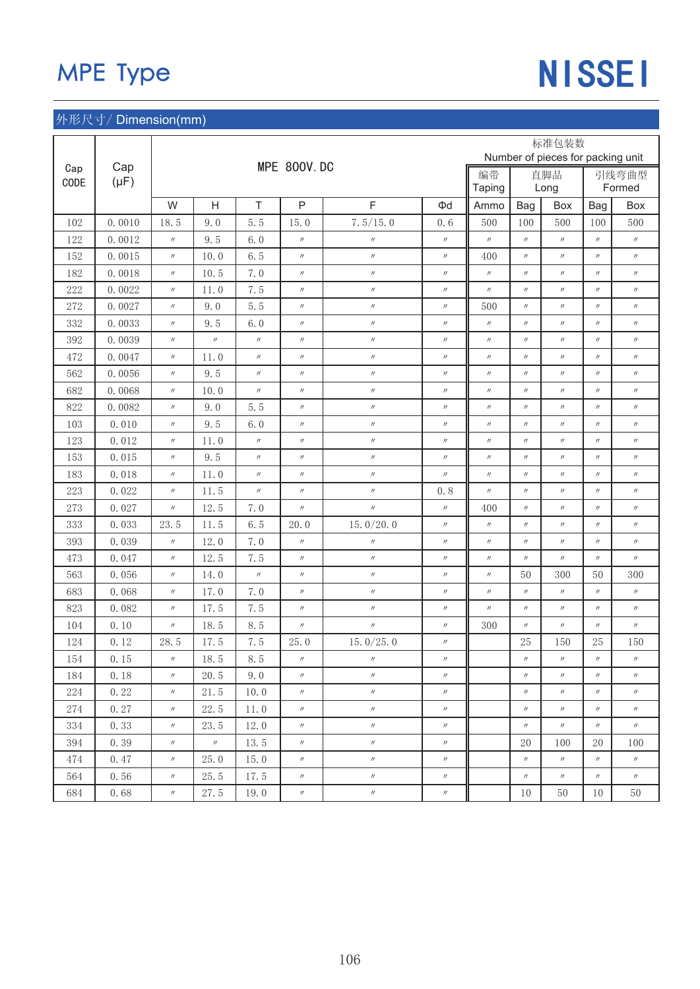# MPE Type NISSEI

|         |           |                   |                   |                   |                    |                   |                   |                   |                   | 标准包装数                             |                   |                   |
|---------|-----------|-------------------|-------------------|-------------------|--------------------|-------------------|-------------------|-------------------|-------------------|-----------------------------------|-------------------|-------------------|
| Cap     | Cap       |                   |                   |                   | <b>MPE 800V.DC</b> |                   |                   |                   |                   | Number of pieces for packing unit |                   |                   |
| CODE    | $(\mu F)$ |                   |                   |                   |                    |                   |                   | 编带<br>Taping      |                   | 直脚品<br>Long                       |                   | 引线弯曲型<br>Formed   |
|         |           | W                 | H                 | T                 | P                  | $\mathsf F$       | Φd                | Ammo              | Bag               | Box                               | Bag               | Box               |
| 102     | 0.0010    | 18.5              | 9.0               | 5.5               | 15.0               | 7.5/15.0          | 0.6               | 500               | 100               | 500                               | 100               | 500               |
| 122     | 0.0012    | $^{\prime\prime}$ | 9.5               | 6.0               | $\prime\prime$     | $\prime\prime$    | $\prime\prime$    | $^{\prime\prime}$ | $^{\prime\prime}$ | $^{\prime\prime}$                 | $^{\prime\prime}$ | $^{\prime\prime}$ |
| 152     | 0.0015    | $^{\prime\prime}$ | 10.0              | 6.5               | $^{\prime\prime}$  | $\prime\prime$    | $^{\prime\prime}$ | 400               | $^{\prime\prime}$ | $^{\prime\prime}$                 | $^{\prime\prime}$ | $^{\prime\prime}$ |
| 182     | 0.0018    | $^{\prime\prime}$ | 10.5              | 7.0               | $^{\prime\prime}$  | $\prime\prime$    | $\prime\prime$    | $^{\prime\prime}$ | $^{\prime\prime}$ | $^{\prime\prime}$                 | $^{\prime\prime}$ | $^{\prime\prime}$ |
| 222     | 0.0022    | $\prime\prime$    | 11.0              | 7.5               | $\prime\prime$     | $\prime\prime$    | $^{\prime\prime}$ | $^{\prime\prime}$ | $^{\prime\prime}$ | $^{\prime\prime}$                 | $^{\prime\prime}$ | $\prime\prime$    |
| 272     | 0.0027    | $\prime\prime$    | 9.0               | 5.5               | $\prime\prime$     | $\prime\prime$    | $^{\prime\prime}$ | 500               | $^{\prime\prime}$ | $^{\prime\prime}$                 | $^{\prime\prime}$ | $^{\prime\prime}$ |
| 332     | 0.0033    | $^{\prime\prime}$ | 9.5               | 6.0               | $^{\prime\prime}$  | $\prime\prime$    | $^{\prime\prime}$ | $^{\prime\prime}$ | $^{\prime\prime}$ | $^{\prime\prime}$                 | $^{\prime\prime}$ | $^{\prime\prime}$ |
| 392     | 0.0039    | $^{\prime\prime}$ | $^{\prime\prime}$ | $\prime\prime$    | $\prime\prime$     | $\prime\prime$    | $^{\prime\prime}$ | $\prime\prime$    | $^{\prime\prime}$ | $^{\prime\prime}$                 | $^{\prime\prime}$ | $^{\prime\prime}$ |
| 472     | 0.0047    | $^{\prime\prime}$ | 11.0              | $^{\prime\prime}$ | $\prime\prime$     | $\prime\prime$    | $^{\prime\prime}$ | $^{\prime\prime}$ | $^{\prime\prime}$ | $^{\prime\prime}$                 | $^{\prime\prime}$ | $^{\prime\prime}$ |
| 562     | 0.0056    | $\prime\prime$    | 9.5               | $\prime\prime$    | $^{\prime\prime}$  | $\prime\prime$    | $\prime\prime$    | $\prime\prime$    | $^{\prime\prime}$ | $^{\prime\prime}$                 | $^{\prime\prime}$ | $^{\prime\prime}$ |
| 682     | 0.0068    | $^{\prime\prime}$ | 10.0              | $^{\prime\prime}$ | $\prime\prime$     | $\prime\prime$    | $^{\prime\prime}$ | $\prime\prime$    | $^{\prime\prime}$ | $^{\prime\prime}$                 | $^{\prime\prime}$ | $^{\prime\prime}$ |
| 822     | 0.0082    | $^{\prime\prime}$ | 9.0               | 5.5               | $^{\prime\prime}$  | $\prime\prime$    | $\prime\prime$    | $^{\prime\prime}$ | $^{\prime\prime}$ | $^{\prime\prime}$                 | $^{\prime\prime}$ | $^{\prime\prime}$ |
| 103     | 0.010     | $^{\prime\prime}$ | 9.5               | 6.0               | $\prime\prime$     | $\prime\prime$    | $^{\prime\prime}$ | $^{\prime\prime}$ | $^{\prime\prime}$ | $^{\prime\prime}$                 | $^{\prime\prime}$ | $^{\prime\prime}$ |
| 123     | 0.012     | $^{\prime\prime}$ | 11.0              | $\prime\prime$    | $^{\prime\prime}$  | $\prime\prime$    | $\prime\prime$    | $\prime\prime$    | $\prime\prime$    | $^{\prime\prime}$                 | $^{\prime\prime}$ | $^{\prime\prime}$ |
| 153     | 0.015     | $^{\prime\prime}$ | 9.5               | $^{\prime\prime}$ | $^{\prime\prime}$  | $\prime\prime$    | $\prime\prime$    | $^{\prime\prime}$ | $^{\prime\prime}$ | $^{\prime\prime}$                 | $\prime\prime$    | $^{\prime\prime}$ |
| 183     | 0.018     | $^{\prime\prime}$ | 11.0              | $\prime\prime$    | $\prime\prime$     | $\prime\prime$    | $^{\prime\prime}$ | $^{\prime\prime}$ | $^{\prime\prime}$ | $^{\prime\prime}$                 | $^{\prime\prime}$ | $^{\prime\prime}$ |
| 223     | 0.022     | $^{\prime\prime}$ | 11.5              | $^{\prime\prime}$ | $\prime\prime$     | $^{\prime\prime}$ | 0, 8              | $^{\prime\prime}$ | $^{\prime\prime}$ | $^{\prime\prime}$                 | $^{\prime\prime}$ | $^{\prime\prime}$ |
| 273     | 0.027     | $^{\prime\prime}$ | 12.5              | 7.0               | $\prime\prime$     | $\prime\prime$    | $\prime\prime$    | 400               | $^{\prime\prime}$ | $^{\prime\prime}$                 | $^{\prime\prime}$ | $^{\prime\prime}$ |
| 333     | 0.033     | 23.5              | 11.5              | 6.5               | 20.0               | 15. $0/20.0$      | $^{\prime\prime}$ | $^{\prime\prime}$ | $\prime\prime$    | $^{\prime\prime}$                 | $^{\prime\prime}$ | $^{\prime\prime}$ |
| 393     | 0.039     | $^{\prime\prime}$ | 12.0              | 7.0               | $^{\prime\prime}$  | $\prime\prime$    | $\prime\prime$    | $^{\prime\prime}$ | $^{\prime\prime}$ | $^{\prime\prime}$                 | $\prime\prime$    | $^{\prime\prime}$ |
| 473     | 0.047     | $^{\prime\prime}$ | 12.5              | 7.5               | $\prime\prime$     | $\prime\prime$    | $^{\prime\prime}$ | $^{\prime\prime}$ | $^{\prime\prime}$ | $^{\prime\prime}$                 | $^{\prime\prime}$ | $^{\prime\prime}$ |
| 563     | 0.056     | $\prime\prime$    | 14.0              | $\prime\prime$    | $^{\prime\prime}$  | $\prime\prime$    | $^{\prime\prime}$ | $\prime\prime$    | 50                | 300                               | 50                | 300               |
| 683     | 0.068     | $\prime\prime$    | 17.0              | 7.0               | $^{\prime\prime}$  | $\prime\prime$    | $\prime\prime$    | $^{\prime\prime}$ | $^{\prime\prime}$ | $^{\prime\prime}$                 | $^{\prime\prime}$ | $\prime\prime$    |
| 823     | 0.082     | $^{\prime\prime}$ | 17.5              | 7.5               | $\prime\prime$     | $\prime\prime$    | $^{\prime\prime}$ | $^{\prime\prime}$ | $^{\prime\prime}$ | $^{\prime\prime}$                 | $^{\prime\prime}$ | $^{\prime\prime}$ |
| 104     | 0.10      | $^{\prime\prime}$ | 18.5              | 8.5               | $^{\prime\prime}$  | $\prime\prime$    | $^{\prime\prime}$ | 300               | $^{\prime\prime}$ | $^{\prime\prime}$                 | $^{\prime\prime}$ | $^{\prime\prime}$ |
| 124     | 0.12      | 28.5              | 17.5              | 7.5               | 25.0               | 15. $0/25.0$      | $\prime\prime$    |                   | 25                | 150                               | 25                | 150               |
| $154\,$ | 0.15      | $^{\prime\prime}$ | $18.5\,$          | 8.5               | $^{\prime\prime}$  | $\prime\prime$    | $\prime\prime$    |                   | $\prime\prime$    | $^{\prime\prime}$                 | $^{\prime\prime}$ | $^{\prime\prime}$ |
| 184     | 0.18      | $\prime\prime$    | 20.5              | 9.0               | $\prime\prime$     | $^{\prime\prime}$ | $\prime\prime$    |                   | $^{\prime\prime}$ | $\prime\prime$                    | $^{\prime\prime}$ | $\prime\prime$    |
| 224     | 0.22      | $\prime\prime$    | 21.5              | 10.0              | $\prime\prime$     | $\prime\prime$    | $\prime\prime$    |                   | $^{\prime\prime}$ | $^{\prime\prime}$                 | $\prime\prime$    | $\prime\prime$    |
| 274     | 0.27      | $^{\prime\prime}$ | 22.5              | 11.0              | $^{\prime\prime}$  | $\prime\prime$    | $\prime\prime$    |                   | $\prime\prime$    | $^{\prime\prime}$                 | $\prime\prime$    | $\prime\prime$    |
| 334     | 0.33      | $\prime\prime$    | 23.5              | 12.0              | $\prime\prime$     | $\prime\prime$    | $\prime\prime$    |                   | $^{\prime\prime}$ | $\prime\prime$                    | $\prime\prime$    | $^{\prime\prime}$ |
| 394     | 0.39      | $\prime\prime$    | $\prime\prime$    | 13.5              | $\prime\prime$     | $^{\prime\prime}$ | $^{\prime\prime}$ |                   | 20                | 100                               | 20                | 100               |
| 474     | 0.47      | $\prime\prime$    | 25.0              | 15.0              | $\prime\prime$     | $\prime\prime$    | $\prime\prime$    |                   | $\prime\prime$    | $\prime\prime$                    | $^{\prime\prime}$ | $\prime\prime$    |
| 564     | 0.56      | $\prime\prime$    | 25.5              | 17.5              | $\prime\prime$     | $\prime\prime$    | $\prime\prime$    |                   | $^{\prime\prime}$ | $\prime\prime$                    | $^{\prime\prime}$ | $\prime\prime$    |
| 684     | 0.68      | $\prime\prime$    | 27.5              | 19.0              | $\prime\prime$     | $\prime\prime$    | $^{\prime\prime}$ |                   | $10\,$            | $50\,$                            | 10                | 50                |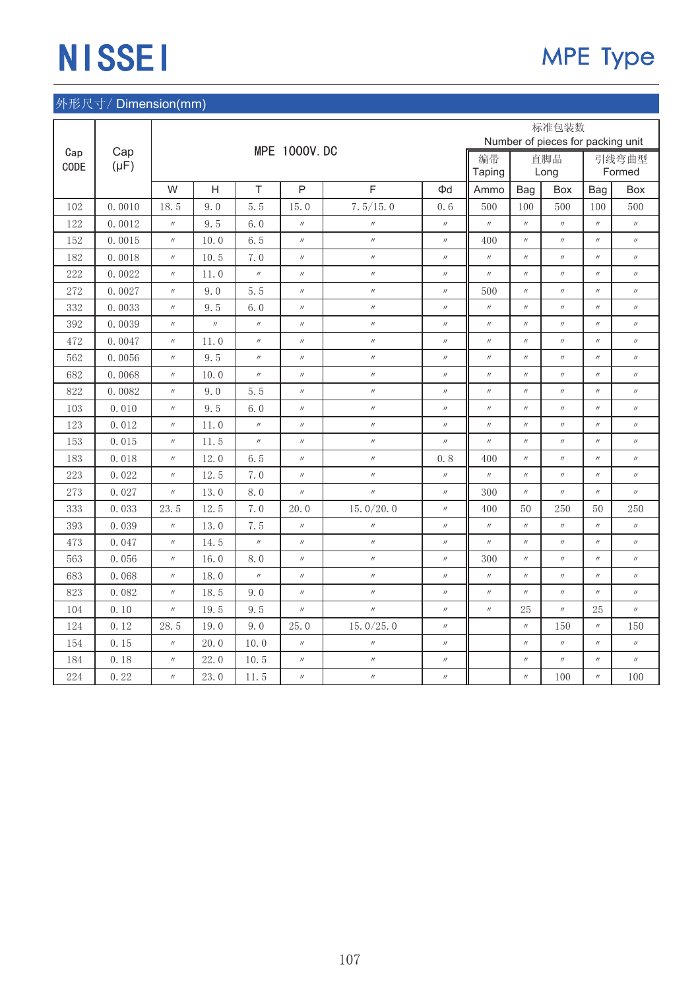|             |           |                   |                   |                   |                   |                   |                   |                   |                   | 标准包装数                             |                   |                   |
|-------------|-----------|-------------------|-------------------|-------------------|-------------------|-------------------|-------------------|-------------------|-------------------|-----------------------------------|-------------------|-------------------|
|             | Cap       |                   |                   |                   | MPE 1000V. DC     |                   |                   |                   |                   | Number of pieces for packing unit |                   |                   |
| Cap<br>CODE | $(\mu F)$ |                   |                   |                   |                   |                   |                   | 编带<br>Taping      |                   | 直脚品<br>Long                       |                   | 引线弯曲型<br>Formed   |
|             |           | W                 | $\overline{H}$    | T                 | $\mathsf{P}$      | F                 | Φd                | Ammo              | Bag               | Box                               | Bag               | Box               |
| 102         | 0.0010    | 18.5              | 9.0               | 5.5               | 15.0              | 7.5/15.0          | 0, 6              | 500               | 100               | 500                               | 100               | 500               |
| 122         | 0.0012    | $\prime\prime$    | 9.5               | 6.0               | $^{\prime\prime}$ | $\prime\prime$    | $^{\prime\prime}$ | $^{\prime\prime}$ | $^{\prime\prime}$ | $^{\prime\prime}$                 | $^{\prime\prime}$ | $^{\prime\prime}$ |
| 152         | 0.0015    | $^{\prime\prime}$ | 10.0              | 6.5               | $^{\prime\prime}$ | $\prime\prime$    | $^{\prime\prime}$ | 400               | $^{\prime\prime}$ | $^{\prime\prime}$                 | $^{\prime\prime}$ | $^{\prime\prime}$ |
| 182         | 0.0018    | $^{\prime\prime}$ | 10.5              | 7.0               | $^{\prime\prime}$ | $\prime\prime$    | $^{\prime\prime}$ | $^{\prime\prime}$ | $^{\prime\prime}$ | $^{\prime\prime}$                 | $^{\prime\prime}$ | $^{\prime\prime}$ |
| 222         | 0.0022    | $^{\prime\prime}$ | 11.0              | $^{\prime\prime}$ | $^{\prime\prime}$ | $^{\prime\prime}$ | $^{\prime\prime}$ | $\prime\prime$    | $^{\prime\prime}$ | $\prime\prime$                    | $^{\prime\prime}$ | $^{\prime\prime}$ |
| 272         | 0.0027    | $^{\prime\prime}$ | 9.0               | 5.5               | $^{\prime\prime}$ | $^{\prime\prime}$ | $\prime\prime$    | 500               | $\prime\prime$    | $^{\prime\prime}$                 | $\prime\prime$    | $^{\prime\prime}$ |
| 332         | 0.0033    | $^{\prime\prime}$ | 9.5               | 6.0               | $^{\prime\prime}$ | $\prime\prime$    | $\prime\prime$    | $\prime\prime$    | $^{\prime\prime}$ | $^{\prime\prime}$                 | $^{\prime\prime}$ | $^{\prime\prime}$ |
| 392         | 0.0039    | $^{\prime\prime}$ | $^{\prime\prime}$ | $\prime\prime$    | $^{\prime\prime}$ | $^{\prime\prime}$ | $^{\prime\prime}$ | $\prime\prime$    | $^{\prime\prime}$ | $^{\prime\prime}$                 | $^{\prime\prime}$ | $^{\prime\prime}$ |
| 472         | 0.0047    | $^{\prime\prime}$ | 11.0              | $\prime\prime$    | $^{\prime\prime}$ | $\prime\prime$    | $\prime\prime$    | $\prime\prime$    | $^{\prime\prime}$ | $^{\prime\prime}$                 | $^{\prime\prime}$ | $^{\prime\prime}$ |
| 562         | 0.0056    | $^{\prime\prime}$ | 9.5               | $^{\prime\prime}$ | $^{\prime\prime}$ | $\prime\prime$    | $^{\prime\prime}$ | $\prime\prime$    | $\prime\prime$    | $^{\prime\prime}$                 | $^{\prime\prime}$ | $^{\prime\prime}$ |
| 682         | 0.0068    | $\prime\prime$    | 10.0              | $^{\prime\prime}$ | $^{\prime\prime}$ | $^{\prime\prime}$ | $\prime\prime$    | $^{\prime\prime}$ | $^{\prime\prime}$ | $^{\prime\prime}$                 | $^{\prime\prime}$ | $^{\prime\prime}$ |
| 822         | 0.0082    | $^{\prime\prime}$ | 9.0               | 5.5               | $^{\prime\prime}$ | $\prime\prime$    | $\prime\prime$    | $^{\prime\prime}$ | $\prime\prime$    | $^{\prime\prime}$                 | $^{\prime\prime}$ | $^{\prime\prime}$ |
| 103         | 0.010     | $^{\prime\prime}$ | 9.5               | 6.0               | $^{\prime\prime}$ | $\prime$          | $^{\prime\prime}$ | $\prime\prime$    | $^{\prime\prime}$ | $^{\prime\prime}$                 | $^{\prime\prime}$ | $^{\prime\prime}$ |
| 123         | 0.012     | $^{\prime\prime}$ | 11.0              | $^{\prime\prime}$ | $^{\prime\prime}$ | $^{\prime\prime}$ | $^{\prime\prime}$ | $^{\prime\prime}$ | $^{\prime\prime}$ | $^{\prime\prime}$                 | $^{\prime\prime}$ | $^{\prime\prime}$ |
| 153         | 0.015     | $^{\prime\prime}$ | 11.5              | $\prime\prime$    | $\prime\prime$    | $^{\prime\prime}$ | $\prime\prime$    | $^{\prime\prime}$ | $\prime\prime$    | $^{\prime\prime}$                 | $\prime\prime$    | $^{\prime\prime}$ |
| 183         | 0.018     | $^{\prime\prime}$ | 12.0              | 6.5               | $^{\prime\prime}$ | $^{\prime\prime}$ | 0, 8              | 400               | $^{\prime\prime}$ | $^{\prime\prime}$                 | $^{\prime\prime}$ | $^{\prime\prime}$ |
| 223         | 0.022     | $^{\prime\prime}$ | 12.5              | 7.0               | $^{\prime\prime}$ | $^{\prime\prime}$ | $^{\prime\prime}$ | $\prime\prime$    | $^{\prime\prime}$ | $^{\prime\prime}$                 | $^{\prime\prime}$ | $^{\prime\prime}$ |
| 273         | 0.027     | $^{\prime\prime}$ | 13.0              | 8.0               | $^{\prime\prime}$ | $^{\prime\prime}$ | $\prime\prime$    | 300               | $\prime\prime$    | $^{\prime\prime}$                 | $^{\prime\prime}$ | $^{\prime\prime}$ |
| 333         | 0.033     | 23.5              | 12.5              | 7.0               | 20.0              | 15.0 $/20.0$      | $^{\prime\prime}$ | 400               | 50                | 250                               | 50                | 250               |
| 393         | 0.039     | $\prime\prime$    | 13.0              | 7.5               | $^{\prime\prime}$ | $\prime\prime$    | $^{\prime\prime}$ | $^{\prime\prime}$ | $^{\prime\prime}$ | $^{\prime\prime}$                 | $^{\prime\prime}$ | $\prime\prime$    |
| 473         | 0.047     | $^{\prime\prime}$ | 14.5              | $\prime\prime$    | $^{\prime\prime}$ | $\prime\prime$    | $^{\prime\prime}$ | $^{\prime\prime}$ | $\prime\prime$    | $^{\prime\prime}$                 | $^{\prime\prime}$ | $^{\prime\prime}$ |
| 563         | 0.056     | $^{\prime\prime}$ | 16.0              | 8.0               | $^{\prime\prime}$ | $\prime$          | $^{\prime\prime}$ | 300               | $\prime\prime$    | $\prime\prime$                    | $^{\prime\prime}$ | $\prime\prime$    |
| 683         | 0.068     | $^{\prime\prime}$ | 18.0              | $^{\prime\prime}$ | $^{\prime\prime}$ | $^{\prime\prime}$ | $^{\prime\prime}$ | $\prime\prime$    | $^{\prime\prime}$ | $\prime\prime$                    | $^{\prime\prime}$ | $^{\prime\prime}$ |
| 823         | 0.082     | $\prime\prime$    | 18.5              | 9.0               | $\prime\prime$    | $^{\prime\prime}$ | $\prime\prime$    | $^{\prime\prime}$ | $^{\prime\prime}$ | $^{\prime\prime}$                 | $\prime\prime$    | $^{\prime\prime}$ |
| 104         | 0.10      | $^{\prime\prime}$ | 19.5              | 9.5               | $^{\prime\prime}$ | $^{\prime\prime}$ | $\prime\prime$    | $^{\prime\prime}$ | 25                | $^{\prime\prime}$                 | 25                | $^{\prime\prime}$ |
| 124         | 0.12      | 28.5              | 19.0              | 9.0               | 25.0              | 15.0 $/25.0$      | $^{\prime\prime}$ |                   | $\prime\prime$    | 150                               | $^{\prime\prime}$ | 150               |
| 154         | 0.15      | $^{\prime\prime}$ | 20.0              | 10.0              | $^{\prime\prime}$ | $\prime\prime$    | $\prime\prime$    |                   | $^{\prime\prime}$ | $^{\prime\prime}$                 | $^{\prime\prime}$ | $^{\prime\prime}$ |
| 184         | 0.18      | $^{\prime\prime}$ | 22.0              | 10.5              | $^{\prime\prime}$ | $^{\prime\prime}$ | $\prime\prime$    |                   | $\prime\prime$    | $^{\prime\prime}$                 | $^{\prime\prime}$ | $^{\prime\prime}$ |
| 224         | 0.22      | $\prime\prime$    | 23.0              | 11.5              | $^{\prime\prime}$ | $^{\prime\prime}$ | $^{\prime\prime}$ |                   | $^{\prime\prime}$ | 100                               | $^{\prime\prime}$ | 100               |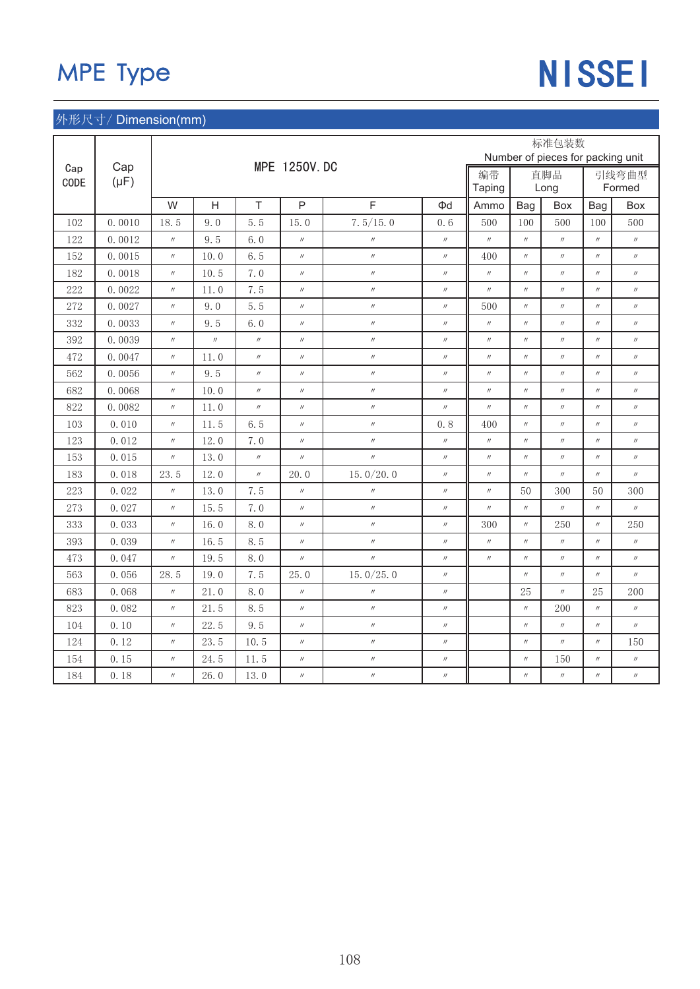# MPE Type NISSEI

|      |           |                   |                   |                   |                     |                   |                   |                   |                   | 标准包装数                             |                   |                   |
|------|-----------|-------------------|-------------------|-------------------|---------------------|-------------------|-------------------|-------------------|-------------------|-----------------------------------|-------------------|-------------------|
| Cap  | Cap       |                   |                   |                   | <b>MPE 1250V.DC</b> |                   |                   |                   |                   | Number of pieces for packing unit |                   |                   |
| CODE | $(\mu F)$ |                   |                   |                   |                     |                   |                   | 编带                |                   | 直脚品                               |                   | 引线弯曲型             |
|      |           |                   |                   |                   |                     |                   |                   | Taping            |                   | Long                              |                   | Formed            |
|      |           | W                 | $\overline{H}$    | T                 | $\mathsf{P}$        | F                 | Φd                | Ammo              | Bag               | Box                               | Bag               | Box               |
| 102  | 0.0010    | 18.5              | 9.0               | 5.5               | 15.0                | 7.5/15.0          | 0.6               | 500               | 100               | 500                               | 100               | 500               |
| 122  | 0.0012    | $\prime\prime$    | 9.5               | 6.0               | $^{\prime\prime}$   | $\prime\prime$    | $\prime\prime$    | $^{\prime\prime}$ | $^{\prime\prime}$ | $^{\prime\prime}$                 | $\prime\prime$    | $^{\prime\prime}$ |
| 152  | 0.0015    | $^{\prime\prime}$ | 10.0              | 6.5               | $^{\prime\prime}$   | $\prime\prime$    | $^{\prime\prime}$ | 400               | $^{\prime\prime}$ | $^{\prime\prime}$                 | $^{\prime\prime}$ | $^{\prime\prime}$ |
| 182  | 0.0018    | $^{\prime\prime}$ | 10.5              | 7.0               | $^{\prime\prime}$   | $\prime\prime$    | $^{\prime\prime}$ | $^{\prime\prime}$ | $^{\prime\prime}$ | $^{\prime\prime}$                 | $^{\prime\prime}$ | $^{\prime\prime}$ |
| 222  | 0.0022    | $^{\prime\prime}$ | 11.0              | 7.5               | $^{\prime\prime}$   | $^{\prime\prime}$ | $^{\prime\prime}$ | $^{\prime\prime}$ | $^{\prime\prime}$ | $^{\prime\prime}$                 | $^{\prime\prime}$ | $^{\prime\prime}$ |
| 272  | 0.0027    | $^{\prime\prime}$ | 9.0               | 5.5               | $^{\prime\prime}$   | $\prime\prime$    | $\prime\prime$    | 500               | $^{\prime\prime}$ | $^{\prime\prime}$                 | $^{\prime\prime}$ | $^{\prime\prime}$ |
| 332  | 0.0033    | $^{\prime\prime}$ | 9.5               | 6.0               | $^{\prime\prime}$   | $\prime\prime$    | $^{\prime\prime}$ | $\prime\prime$    | $^{\prime\prime}$ | $^{\prime\prime}$                 | $^{\prime\prime}$ | $^{\prime\prime}$ |
| 392  | 0.0039    | $^{\prime\prime}$ | $^{\prime\prime}$ | $^{\prime\prime}$ | $^{\prime\prime}$   | $\prime\prime$    | $^{\prime\prime}$ | $^{\prime\prime}$ | $^{\prime\prime}$ | $^{\prime\prime}$                 | $\prime\prime$    | $^{\prime\prime}$ |
| 472  | 0.0047    | $^{\prime\prime}$ | 11.0              | $^{\prime\prime}$ | $^{\prime\prime}$   | $^{\prime\prime}$ | $^{\prime\prime}$ | $\prime\prime$    | $^{\prime\prime}$ | $^{\prime\prime}$                 | $^{\prime\prime}$ | $\prime\prime$    |
| 562  | 0.0056    | $^{\prime\prime}$ | 9.5               | $\prime\prime$    | $^{\prime\prime}$   | $\prime\prime$    | $\prime\prime$    | $^{\prime\prime}$ | $\prime\prime$    | $^{\prime\prime}$                 | $^{\prime\prime}$ | $^{\prime\prime}$ |
| 682  | 0.0068    | $^{\prime\prime}$ | 10.0              | $^{\prime\prime}$ | $^{\prime\prime}$   | $^{\prime\prime}$ | $^{\prime\prime}$ | $^{\prime\prime}$ | $^{\prime\prime}$ | $^{\prime\prime}$                 | $^{\prime\prime}$ | $^{\prime\prime}$ |
| 822  | 0.0082    | $^{\prime\prime}$ | 11.0              | $^{\prime\prime}$ | $^{\prime\prime}$   | $\prime\prime$    | $^{\prime\prime}$ | $\prime\prime$    | $\prime\prime$    | $^{\prime\prime}$                 | $\prime\prime$    | $^{\prime\prime}$ |
| 103  | 0.010     | $^{\prime\prime}$ | 11.5              | 6.5               | $^{\prime\prime}$   | $\prime$          | 0.8               | 400               | $^{\prime\prime}$ | $^{\prime\prime}$                 | $^{\prime\prime}$ | $^{\prime\prime}$ |
| 123  | 0.012     | $^{\prime\prime}$ | 12.0              | 7.0               | $^{\prime\prime}$   | $^{\prime\prime}$ | $\prime\prime$    | $^{\prime\prime}$ | $\prime\prime$    | $\prime\prime$                    | $^{\prime\prime}$ | $^{\prime\prime}$ |
| 153  | 0.015     | $^{\prime\prime}$ | 13.0              | $^{\prime\prime}$ | $^{\prime\prime}$   | $^{\prime\prime}$ | $^{\prime\prime}$ | $^{\prime\prime}$ | $\prime\prime$    | $^{\prime\prime}$                 | $^{\prime\prime}$ | $^{\prime\prime}$ |
| 183  | 0.018     | 23.5              | 12.0              | $^{\prime\prime}$ | 20.0                | 15. $0/20.0$      | $^{\prime\prime}$ | $^{\prime\prime}$ | $^{\prime\prime}$ | $^{\prime\prime}$                 | $^{\prime\prime}$ | $^{\prime\prime}$ |
| 223  | 0.022     | $^{\prime\prime}$ | 13.0              | 7.5               | $^{\prime\prime}$   | $\prime\prime$    | $\prime\prime$    | $^{\prime\prime}$ | 50                | 300                               | 50                | 300               |
| 273  | 0.027     | $^{\prime\prime}$ | 15.5              | 7.0               | $^{\prime\prime}$   | $\prime\prime$    | $^{\prime\prime}$ | $^{\prime\prime}$ | $^{\prime\prime}$ | $^{\prime\prime}$                 | $^{\prime\prime}$ | $^{\prime\prime}$ |
| 333  | 0.033     | $^{\prime\prime}$ | 16.0              | 8.0               | $^{\prime\prime}$   | $\prime$          | $\prime\prime$    | 300               | $\prime\prime$    | 250                               | $\prime\prime$    | 250               |
| 393  | 0.039     | $^{\prime\prime}$ | 16.5              | 8.5               | $^{\prime\prime}$   | $\prime\prime$    | $^{\prime\prime}$ | $^{\prime\prime}$ | $^{\prime\prime}$ | $^{\prime\prime}$                 | $^{\prime\prime}$ | $\prime\prime$    |
| 473  | 0.047     | $^{\prime\prime}$ | 19.5              | 8.0               | $\prime\prime$      | $^{\prime\prime}$ | $^{\prime\prime}$ | $^{\prime\prime}$ | $\prime\prime$    | $^{\prime\prime}$                 | $^{\prime\prime}$ | $^{\prime\prime}$ |
| 563  | 0.056     | 28.5              | 19.0              | 7.5               | 25.0                | 15.0 $/25.0$      | $^{\prime\prime}$ |                   | $^{\prime\prime}$ | $^{\prime\prime}$                 | $^{\prime\prime}$ | $^{\prime\prime}$ |
| 683  | 0.068     | $^{\prime\prime}$ | 21.0              | 8.0               | $^{\prime\prime}$   | $\prime\prime$    | $\prime\prime$    |                   | 25                | $^{\prime\prime}$                 | 25                | 200               |
| 823  | 0.082     | $^{\prime\prime}$ | 21.5              | 8.5               | $^{\prime\prime}$   | $\prime\prime$    | $^{\prime\prime}$ |                   | $^{\prime\prime}$ | 200                               | $^{\prime\prime}$ | $^{\prime\prime}$ |
| 104  | 0.10      | $^{\prime\prime}$ | 22.5              | 9.5               | $^{\prime\prime}$   | $\prime\prime$    | $^{\prime\prime}$ |                   | $\prime\prime$    | $^{\prime\prime}$                 | $^{\prime\prime}$ | $^{\prime\prime}$ |
| 124  | 0.12      | $^{\prime\prime}$ | 23.5              | 10.5              | $^{\prime\prime}$   | $^{\prime\prime}$ | $^{\prime\prime}$ |                   | $\prime\prime$    | $^{\prime\prime}$                 | $^{\prime\prime}$ | 150               |
| 154  | 0.15      | $\prime\prime$    | 24.5              | 11.5              | $^{\prime\prime}$   | $\prime\prime$    | $\prime\prime$    |                   | $\prime\prime$    | 150                               | $^{\prime\prime}$ | $^{\prime\prime}$ |
| 184  | 0.18      | $^{\prime\prime}$ | 26.0              | 13.0              | $^{\prime\prime}$   | $\prime\prime$    | $\prime\prime$    |                   | $\prime\prime$    | $^{\prime\prime}$                 | $^{\prime\prime}$ | $^{\prime\prime}$ |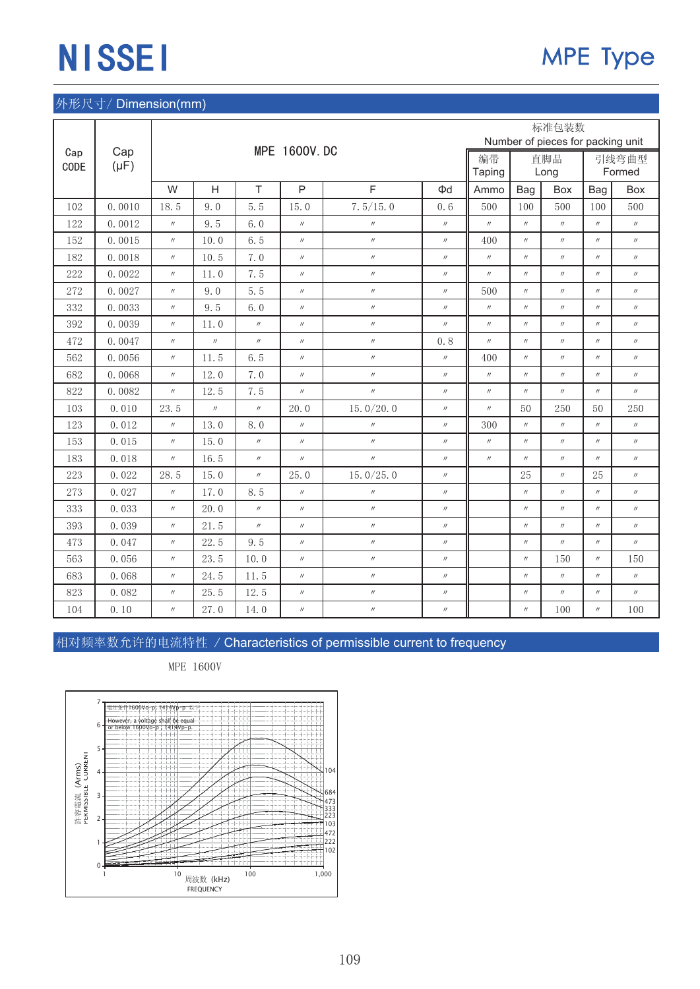### 外形尺寸/Dimension(mm)

|      |           |                   |                   |                   |                     |                   |                   |                   |                   | 标准包装数                             |                   |                   |
|------|-----------|-------------------|-------------------|-------------------|---------------------|-------------------|-------------------|-------------------|-------------------|-----------------------------------|-------------------|-------------------|
| Cap  | Cap       |                   |                   |                   | <b>MPE 1600V.DC</b> |                   |                   |                   |                   | Number of pieces for packing unit |                   |                   |
| CODE | $(\mu F)$ |                   |                   |                   |                     |                   |                   | 编带                |                   | 直脚品                               |                   | 引线弯曲型             |
|      |           |                   |                   |                   |                     |                   |                   | Taping            |                   | Long                              |                   | Formed            |
|      |           | W                 | H                 | T                 | $\mathsf{P}$        | F                 | Φd                | Ammo              | Bag               | Box                               | Bag               | Box               |
| 102  | 0.0010    | 18.5              | 9.0               | 5.5               | 15.0                | 7.5/15.0          | 0.6               | 500               | 100               | 500                               | 100               | 500               |
| 122  | 0.0012    | $^{\prime\prime}$ | 9.5               | 6.0               | $^{\prime\prime}$   | $\prime\prime$    | $^{\prime\prime}$ | $^{\prime\prime}$ | $^{\prime\prime}$ | $^{\prime\prime}$                 | $^{\prime\prime}$ | $^{\prime\prime}$ |
| 152  | 0.0015    | $^{\prime\prime}$ | 10.0              | 6.5               | $^{\prime\prime}$   | $\prime\prime$    | $^{\prime\prime}$ | 400               | $\prime\prime$    | $^{\prime\prime}$                 | $^{\prime\prime}$ | $^{\prime\prime}$ |
| 182  | 0.0018    | $\prime\prime$    | 10.5              | 7.0               | $^{\prime\prime}$   | $\prime\prime$    | $^{\prime\prime}$ | $^{\prime\prime}$ | $^{\prime\prime}$ | $^{\prime\prime}$                 | $^{\prime\prime}$ | $^{\prime\prime}$ |
| 222  | 0.0022    | $^{\prime\prime}$ | 11.0              | 7.5               | $^{\prime\prime}$   | $^{\prime\prime}$ | $^{\prime\prime}$ | $^{\prime\prime}$ | $^{\prime\prime}$ | $^{\prime\prime}$                 | $^{\prime\prime}$ | $^{\prime\prime}$ |
| 272  | 0.0027    | $^{\prime\prime}$ | 9.0               | 5.5               | $^{\prime\prime}$   | $\prime\prime$    | $\prime\prime$    | 500               | $^{\prime\prime}$ | $^{\prime\prime}$                 | $^{\prime\prime}$ | $^{\prime\prime}$ |
| 332  | 0.0033    | $\prime\prime$    | 9.5               | 6.0               | $^{\prime\prime}$   | $^{\prime\prime}$ | $^{\prime\prime}$ | $^{\prime\prime}$ | $\prime\prime$    | $^{\prime\prime}$                 | $^{\prime\prime}$ | $^{\prime\prime}$ |
| 392  | 0.0039    | $\prime\prime$    | 11.0              | $^{\prime\prime}$ | $^{\prime\prime}$   | $^{\prime\prime}$ | $^{\prime\prime}$ | $^{\prime\prime}$ | $^{\prime\prime}$ | $^{\prime\prime}$                 | $^{\prime\prime}$ | $^{\prime\prime}$ |
| 472  | 0.0047    | $^{\prime\prime}$ | $^{\prime\prime}$ | $^{\prime\prime}$ | $^{\prime\prime}$   | $^{\prime\prime}$ | 0.8               | $^{\prime\prime}$ | $^{\prime\prime}$ | $^{\prime\prime}$                 | $^{\prime\prime}$ | $^{\prime\prime}$ |
| 562  | 0.0056    | $^{\prime\prime}$ | 11.5              | 6.5               | $^{\prime\prime}$   | $^{\prime\prime}$ | $\prime\prime$    | 400               | $^{\prime\prime}$ | $^{\prime\prime}$                 | $^{\prime\prime}$ | $^{\prime\prime}$ |
| 682  | 0.0068    | $^{\prime\prime}$ | 12.0              | 7.0               | $^{\prime\prime}$   | $^{\prime\prime}$ | $^{\prime\prime}$ | $^{\prime\prime}$ | $\prime\prime$    | $^{\prime\prime}$                 | $^{\prime\prime}$ | $^{\prime\prime}$ |
| 822  | 0.0082    | $\prime\prime$    | 12.5              | 7.5               | $^{\prime\prime}$   | $^{\prime\prime}$ | $^{\prime\prime}$ | $^{\prime\prime}$ | $^{\prime\prime}$ | $^{\prime\prime}$                 | $^{\prime\prime}$ | $^{\prime\prime}$ |
| 103  | 0.010     | 23.5              | $^{\prime\prime}$ | $^{\prime\prime}$ | 20.0                | 15.0/20.0         | $^{\prime\prime}$ | $^{\prime\prime}$ | 50                | 250                               | 50                | 250               |
| 123  | 0.012     | $^{\prime\prime}$ | 13.0              | 8.0               | $^{\prime\prime}$   | $^{\prime\prime}$ | $^{\prime\prime}$ | 300               | $^{\prime\prime}$ | $^{\prime\prime}$                 | $^{\prime\prime}$ | $^{\prime\prime}$ |
| 153  | 0.015     | $^{\prime\prime}$ | 15.0              | $^{\prime\prime}$ | $^{\prime\prime}$   | $^{\prime\prime}$ | $^{\prime\prime}$ | $^{\prime\prime}$ | $^{\prime\prime}$ | $^{\prime\prime}$                 | $^{\prime\prime}$ | $^{\prime\prime}$ |
| 183  | 0.018     | $^{\prime\prime}$ | 16.5              | $^{\prime\prime}$ | $^{\prime\prime}$   | $^{\prime\prime}$ | $^{\prime\prime}$ | $^{\prime\prime}$ | $^{\prime\prime}$ | $^{\prime\prime}$                 | $^{\prime\prime}$ | $^{\prime\prime}$ |
| 223  | 0.022     | 28.5              | 15.0              | $^{\prime\prime}$ | 25.0                | 15.0 $/25.0$      | $^{\prime\prime}$ |                   | 25                | $^{\prime\prime}$                 | 25                | $^{\prime\prime}$ |
| 273  | 0.027     | $^{\prime\prime}$ | 17.0              | 8.5               | $^{\prime\prime}$   | $^{\prime\prime}$ | $^{\prime\prime}$ |                   | $^{\prime\prime}$ | $^{\prime\prime}$                 | $^{\prime\prime}$ | $^{\prime\prime}$ |
| 333  | 0.033     | $\prime\prime$    | 20.0              | $^{\prime\prime}$ | $\prime\prime$      | $^{\prime\prime}$ | $\prime\prime$    |                   | $\prime\prime$    | $^{\prime\prime}$                 | $^{\prime\prime}$ | $^{\prime\prime}$ |
| 393  | 0.039     | $\prime\prime$    | 21.5              | $^{\prime\prime}$ | $^{\prime\prime}$   | $^{\prime\prime}$ | $^{\prime\prime}$ |                   | $^{\prime\prime}$ | $^{\prime\prime}$                 | $^{\prime\prime}$ | $^{\prime\prime}$ |
| 473  | 0.047     | $^{\prime\prime}$ | 22.5              | 9.5               | $\prime\prime$      | $^{\prime\prime}$ | $\prime\prime$    |                   | $^{\prime\prime}$ | $^{\prime\prime}$                 | $^{\prime\prime}$ | $^{\prime\prime}$ |
| 563  | 0.056     | $^{\prime\prime}$ | 23.5              | 10.0              | $^{\prime\prime}$   | $^{\prime\prime}$ | $\prime\prime$    |                   | $^{\prime\prime}$ | 150                               | $^{\prime\prime}$ | 150               |
| 683  | 0.068     | $^{\prime\prime}$ | 24.5              | 11.5              | $\prime\prime$      | $^{\prime\prime}$ | $\prime\prime$    |                   | $^{\prime\prime}$ | $^{\prime\prime}$                 | $^{\prime\prime}$ | $^{\prime\prime}$ |
| 823  | 0.082     | $^{\prime\prime}$ | 25.5              | 12.5              | $^{\prime\prime}$   | $^{\prime\prime}$ | $\prime\prime$    |                   | $^{\prime\prime}$ | $^{\prime\prime}$                 | $^{\prime\prime}$ | $^{\prime\prime}$ |
| 104  | 0.10      | $^{\prime\prime}$ | 27.0              | 14.0              | $^{\prime\prime}$   | $^{\prime\prime}$ | $^{\prime\prime}$ |                   | $^{\prime\prime}$ | 100                               | $^{\prime\prime}$ | 100               |

相对频率数允许的电流特性 / Characteristics of permissible current to frequency

MPE 1600V